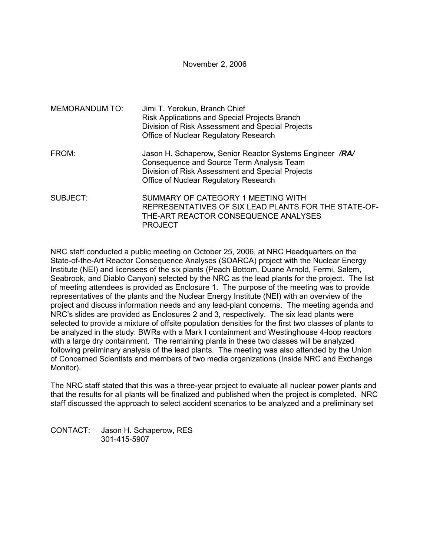November 2, 2006

| <b>MEMORANDUM TO:</b> | Jimi T. Yerokun, Branch Chief<br>Risk Applications and Special Projects Branch<br>Division of Risk Assessment and Special Projects<br>Office of Nuclear Regulatory Research                        |
|-----------------------|----------------------------------------------------------------------------------------------------------------------------------------------------------------------------------------------------|
| FROM:                 | Jason H. Schaperow, Senior Reactor Systems Engineer /RA/<br>Consequence and Source Term Analysis Team<br>Division of Risk Assessment and Special Projects<br>Office of Nuclear Regulatory Research |
| SUBJECT:              | SUMMARY OF CATEGORY 1 MEETING WITH<br>REPRESENTATIVES OF SIX LEAD PLANTS FOR THE STATE-OF-<br>THE-ART REACTOR CONSEQUENCE ANALYSES<br><b>PROJECT</b>                                               |

NRC staff conducted a public meeting on October 25, 2006, at NRC Headquarters on the State-of-the-Art Reactor Consequence Analyses (SOARCA) project with the Nuclear Energy Institute (NEI) and licensees of the six plants (Peach Bottom, Duane Arnold, Fermi, Salem, Seabrook, and Diablo Canyon) selected by the NRC as the lead plants for the project. The list of meeting attendees is provided as Enclosure 1. The purpose of the meeting was to provide representatives of the plants and the Nuclear Energy Institute (NEI) with an overview of the project and discuss information needs and any lead-plant concerns. The meeting agenda and NRC's slides are provided as Enclosures 2 and 3, respectively. The six lead plants were selected to provide a mixture of offsite population densities for the first two classes of plants to be analyzed in the study: BWRs with a Mark I containment and Westinghouse 4-loop reactors with a large dry containment. The remaining plants in these two classes will be analyzed following preliminary analysis of the lead plants. The meeting was also attended by the Union of Concerned Scientists and members of two media organizations (Inside NRC and Exchange Monitor).

The NRC staff stated that this was a three-year project to evaluate all nuclear power plants and that the results for all plants will be finalized and published when the project is completed. NRC staff discussed the approach to select accident scenarios to be analyzed and a preliminary set

CONTACT: Jason H. Schaperow, RES 301-415-5907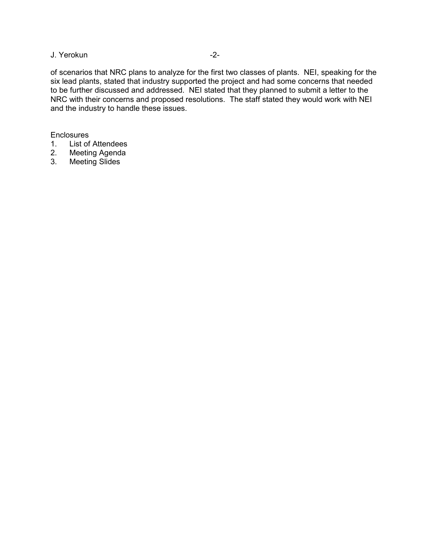## J. Yerokun -2-

of scenarios that NRC plans to analyze for the first two classes of plants. NEI, speaking for the six lead plants, stated that industry supported the project and had some concerns that needed to be further discussed and addressed. NEI stated that they planned to submit a letter to the NRC with their concerns and proposed resolutions. The staff stated they would work with NEI and the industry to handle these issues.

#### **Enclosures**

- 1. List of Attendees
- 2. Meeting Agenda
- 3. Meeting Slides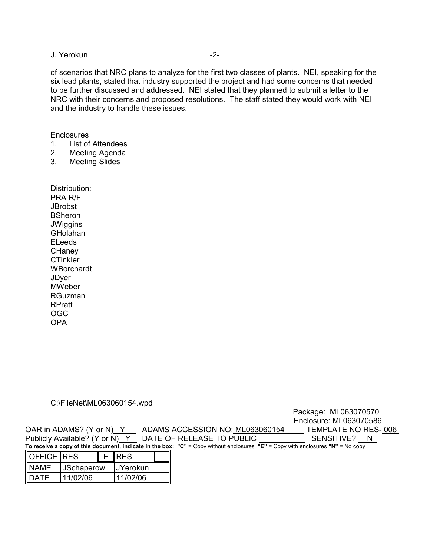#### J. Yerokun -2-

of scenarios that NRC plans to analyze for the first two classes of plants. NEI, speaking for the six lead plants, stated that industry supported the project and had some concerns that needed to be further discussed and addressed. NEI stated that they planned to submit a letter to the NRC with their concerns and proposed resolutions. The staff stated they would work with NEI and the industry to handle these issues.

**Enclosures** 

- 1. List of Attendees
- 2. Meeting Agenda
- 3. Meeting Slides

Distribution: PRA R/F **JBrobst BSheron JWiggins** GHolahan ELeeds **CHaney CTinkler WBorchardt JDver MWeber** RGuzman RPratt OGC OPA

#### C:\FileNet\ML063060154.wpd

Package: ML063070570 Enclosure: ML063070586 OAR in ADAMS? (Y or N) Y ADAMS ACCESSION NO: ML063060154 Publicly Available? (Y or N) Y DATE OF RELEASE TO PUBLIC SENSITIVE? N **To receive a copy of this document, indicate in the box: "C"** = Copy without enclosures **"E"** = Copy with enclosures **"N"** = No copy

| OFFICE RES  |                   |  | E <b>IRES</b>    |  |
|-------------|-------------------|--|------------------|--|
| <b>NAMF</b> | <b>JSchaperow</b> |  | <b>IJYerokun</b> |  |
| IDATE       | 11/02/06          |  | 11/02/06         |  |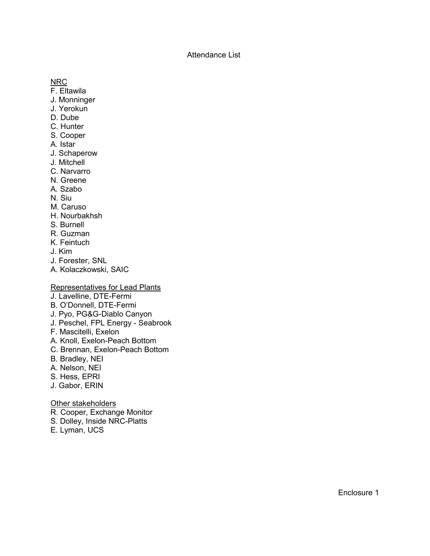### Attendance List

NRC

- F. Eltawila
- J. Monninger
- J. Yerokun
- D. Dube
- C. Hunter
- S. Cooper
- A. Istar
- J. Schaperow
- J. Mitchell
- C. Narvarro
- N. Greene
- A. Szabo
- N. Siu
- M. Caruso
- H. Nourbakhsh
- S. Burnell
- R. Guzman
- K. Feintuch
- J. Kim
- J. Forester, SNL
- A. Kolaczkowski, SAIC

### Representatives for Lead Plants

- J. Lavelline, DTE-Fermi
- B. O'Donnell, DTE-Fermi
- J. Pyo, PG&G-Diablo Canyon
- J. Peschel, FPL Energy Seabrook
- F. Mascitelli, Exelon
- A. Knoll, Exelon-Peach Bottom
- C. Brennan, Exelon-Peach Bottom
- B. Bradley, NEI
- A. Nelson, NEI
- S. Hess, EPRI
- J. Gabor, ERIN

### Other stakeholders

- R. Cooper, Exchange Monitor
- S. Dolley, Inside NRC-Platts
- E. Lyman, UCS